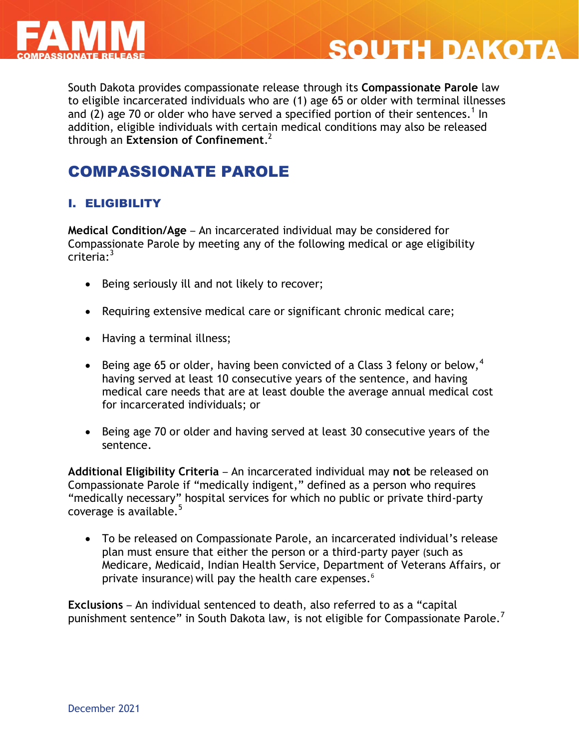

# **SOUTH DAKOTA**

South Dakota provides compassionate release through its **Compassionate Parole** law to eligible incarcerated individuals who are (1) age 65 or older with terminal illnesses and (2) age 70 or older who have served a specified portion of their sentences.<sup>1</sup> In addition, eligible individuals with certain medical conditions may also be released through an **Extension of Confinement**. 2

# COMPASSIONATE PAROLE

## I. ELIGIBILITY

**Medical Condition/Age** – An incarcerated individual may be considered for Compassionate Parole by meeting any of the following medical or age eligibility criteria: 3

- Being seriously ill and not likely to recover;
- Requiring extensive medical care or significant chronic medical care;
- Having a terminal illness;
- Being age 65 or older, having been convicted of a Class 3 felony or below,  $4$ having served at least 10 consecutive years of the sentence, and having medical care needs that are at least double the average annual medical cost for incarcerated individuals; or
- Being age 70 or older and having served at least 30 consecutive years of the sentence.

**Additional Eligibility Criteria** – An incarcerated individual may **not** be released on Compassionate Parole if "medically indigent," defined as a person who requires "medically necessary" hospital services for which no public or private third-party coverage is available.<sup>5</sup>

 To be released on Compassionate Parole, an incarcerated individual's release plan must ensure that either the person or a third-party payer (such as Medicare, Medicaid, Indian Health Service, Department of Veterans Affairs, or private insurance) will pay the health care expenses. 6

**Exclusions** – An individual sentenced to death, also referred to as a "capital punishment sentence" in South Dakota law, is not eligible for Compassionate Parole.<sup>7</sup>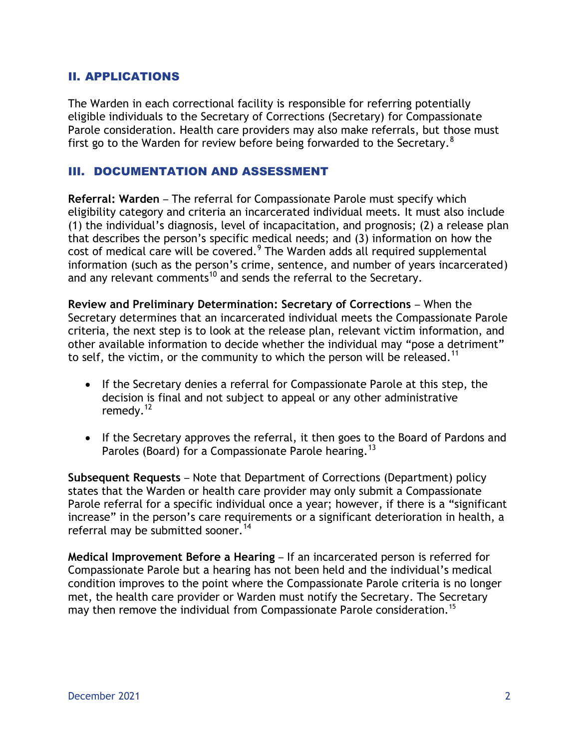#### II. APPLICATIONS

The Warden in each correctional facility is responsible for referring potentially eligible individuals to the Secretary of Corrections (Secretary) for Compassionate Parole consideration. Health care providers may also make referrals, but those must first go to the Warden for review before being forwarded to the Secretary.<sup>8</sup>

#### III. DOCUMENTATION AND ASSESSMENT

**Referral: Warden** – The referral for Compassionate Parole must specify which eligibility category and criteria an incarcerated individual meets. It must also include (1) the individual's diagnosis, level of incapacitation, and prognosis; (2) a release plan that describes the person's specific medical needs; and (3) information on how the cost of medical care will be covered. $9$  The Warden adds all required supplemental information (such as the person's crime, sentence, and number of years incarcerated) and any relevant comments<sup>10</sup> and sends the referral to the Secretary.

**Review and Preliminary Determination: Secretary of Corrections** – When the Secretary determines that an incarcerated individual meets the Compassionate Parole criteria, the next step is to look at the release plan, relevant victim information, and other available information to decide whether the individual may "pose a detriment" to self, the victim, or the community to which the person will be released.<sup>11</sup>

- If the Secretary denies a referral for Compassionate Parole at this step, the decision is final and not subject to appeal or any other administrative remedy.<sup>12</sup>
- If the Secretary approves the referral, it then goes to the Board of Pardons and Paroles (Board) for a Compassionate Parole hearing.<sup>13</sup>

**Subsequent Requests** – Note that Department of Corrections (Department) policy states that the Warden or health care provider may only submit a Compassionate Parole referral for a specific individual once a year; however, if there is a "significant increase" in the person's care requirements or a significant deterioration in health, a referral may be submitted sooner.<sup>14</sup>

**Medical Improvement Before a Hearing** – If an incarcerated person is referred for Compassionate Parole but a hearing has not been held and the individual's medical condition improves to the point where the Compassionate Parole criteria is no longer met, the health care provider or Warden must notify the Secretary. The Secretary may then remove the individual from Compassionate Parole consideration.<sup>15</sup>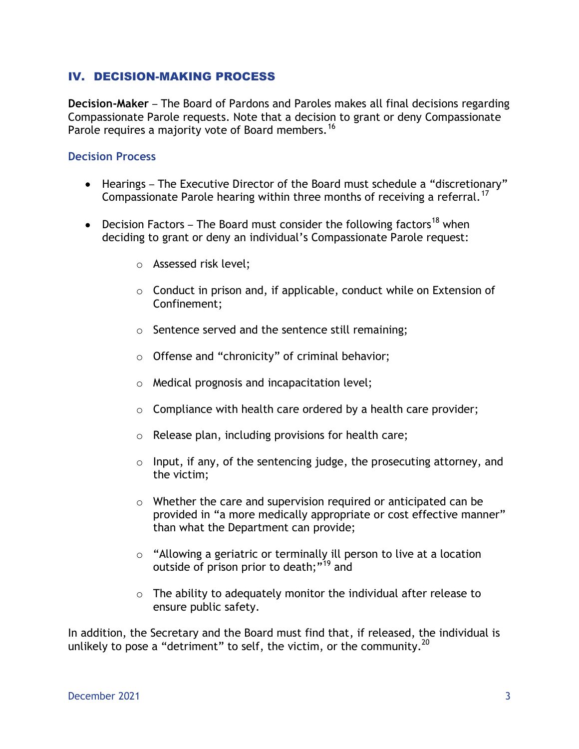#### IV. DECISION-MAKING PROCESS

**Decision-Maker** – The Board of Pardons and Paroles makes all final decisions regarding Compassionate Parole requests. Note that a decision to grant or deny Compassionate Parole requires a majority vote of Board members.<sup>16</sup>

#### **Decision Process**

- Hearings The Executive Director of the Board must schedule a "discretionary" Compassionate Parole hearing within three months of receiving a referral.<sup>17</sup>
- Decision Factors The Board must consider the following factors<sup>18</sup> when deciding to grant or deny an individual's Compassionate Parole request:
	- o Assessed risk level;
	- $\circ$  Conduct in prison and, if applicable, conduct while on Extension of Confinement;
	- o Sentence served and the sentence still remaining;
	- $\circ$  Offense and "chronicity" of criminal behavior;
	- o Medical prognosis and incapacitation level;
	- $\circ$  Compliance with health care ordered by a health care provider;
	- o Release plan, including provisions for health care;
	- $\circ$  Input, if any, of the sentencing judge, the prosecuting attorney, and the victim;
	- o Whether the care and supervision required or anticipated can be provided in "a more medically appropriate or cost effective manner" than what the Department can provide;
	- o "Allowing a geriatric or terminally ill person to live at a location outside of prison prior to death;"<sup>19</sup> and
	- $\circ$  The ability to adequately monitor the individual after release to ensure public safety.

In addition, the Secretary and the Board must find that, if released, the individual is unlikely to pose a "detriment" to self, the victim, or the community.<sup>20</sup>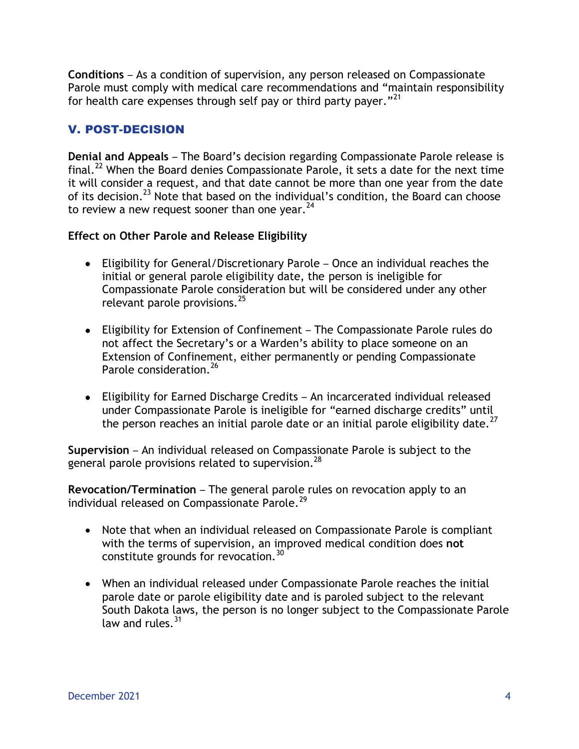**Conditions** – As a condition of supervision, any person released on Compassionate Parole must comply with medical care recommendations and "maintain responsibility for health care expenses through self pay or third party payer."<sup>21</sup>

# V. POST-DECISION

**Denial and Appeals** – The Board's decision regarding Compassionate Parole release is final.<sup>22</sup> When the Board denies Compassionate Parole, it sets a date for the next time it will consider a request, and that date cannot be more than one year from the date of its decision.<sup>23</sup> Note that based on the individual's condition, the Board can choose to review a new request sooner than one year.  $^{24}$ 

### **Effect on Other Parole and Release Eligibility**

- Eligibility for General/Discretionary Parole Once an individual reaches the initial or general parole eligibility date, the person is ineligible for Compassionate Parole consideration but will be considered under any other relevant parole provisions.<sup>25</sup>
- Eligibility for Extension of Confinement The Compassionate Parole rules do not affect the Secretary's or a Warden's ability to place someone on an Extension of Confinement, either permanently or pending Compassionate Parole consideration.<sup>26</sup>
- Eligibility for Earned Discharge Credits An incarcerated individual released under Compassionate Parole is ineligible for "earned discharge credits" until the person reaches an initial parole date or an initial parole eligibility date.<sup>27</sup>

**Supervision** – An individual released on Compassionate Parole is subject to the general parole provisions related to supervision.<sup>28</sup>

**Revocation/Termination** – The general parole rules on revocation apply to an individual released on Compassionate Parole.<sup>29</sup>

- Note that when an individual released on Compassionate Parole is compliant with the terms of supervision, an improved medical condition does **not** constitute grounds for revocation.  $30$
- When an individual released under Compassionate Parole reaches the initial parole date or parole eligibility date and is paroled subject to the relevant South Dakota laws, the person is no longer subject to the Compassionate Parole law and rules.<sup>31</sup>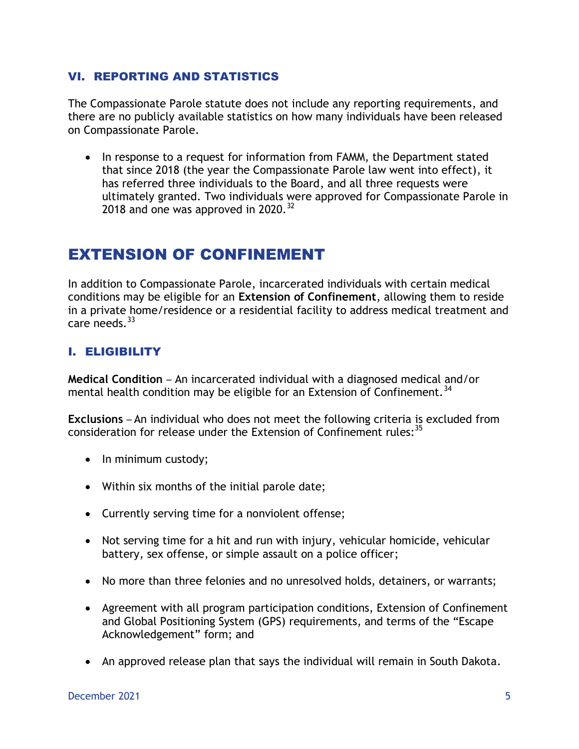#### VI. REPORTING AND STATISTICS

The Compassionate Parole statute does not include any reporting requirements, and there are no publicly available statistics on how many individuals have been released on Compassionate Parole.

• In response to a request for information from FAMM, the Department stated that since 2018 (the year the Compassionate Parole law went into effect), it has referred three individuals to the Board, and all three requests were ultimately granted. Two individuals were approved for Compassionate Parole in 2018 and one was approved in 2020. $32$ 

# EXTENSION OF CONFINEMENT

In addition to Compassionate Parole, incarcerated individuals with certain medical conditions may be eligible for an **Extension of Confinement**, allowing them to reside in a private home/residence or a residential facility to address medical treatment and care needs 33

## I. ELIGIBILITY

**Medical Condition** – An incarcerated individual with a diagnosed medical and/or mental health condition may be eligible for an Extension of Confinement.<sup>34</sup>

**Exclusions** – An individual who does not meet the following criteria is excluded from consideration for release under the Extension of Confinement rules:<sup>35</sup>

- In minimum custody;
- Within six months of the initial parole date;
- Currently serving time for a nonviolent offense;
- Not serving time for a hit and run with injury, vehicular homicide, vehicular battery, sex offense, or simple assault on a police officer;
- No more than three felonies and no unresolved holds, detainers, or warrants;
- Agreement with all program participation conditions, Extension of Confinement and Global Positioning System (GPS) requirements, and terms of the "Escape Acknowledgement" form; and
- An approved release plan that says the individual will remain in South Dakota.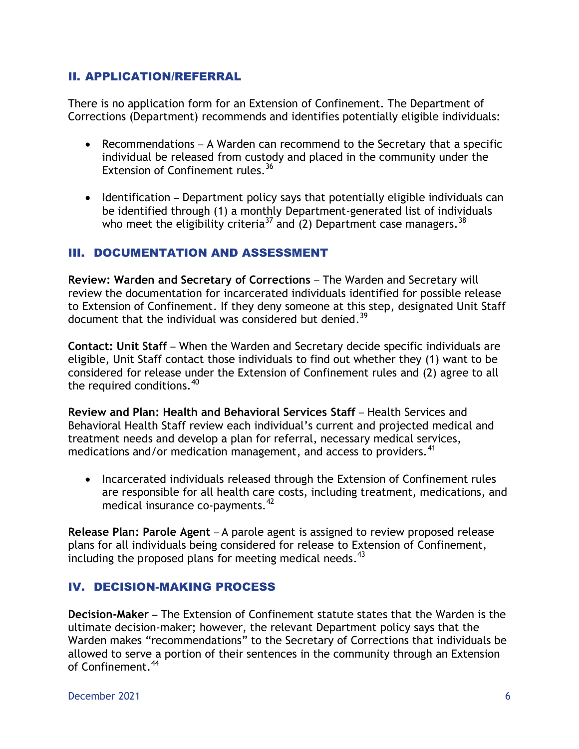#### II. APPLICATION/REFERRAL

There is no application form for an Extension of Confinement. The Department of Corrections (Department) recommends and identifies potentially eligible individuals:

- Recommendations A Warden can recommend to the Secretary that a specific individual be released from custody and placed in the community under the Extension of Confinement rules.<sup>36</sup>
- $\bullet$  Identification Department policy says that potentially eligible individuals can be identified through (1) a monthly Department-generated list of individuals who meet the eligibility criteria<sup>37</sup> and (2) Department case managers.<sup>38</sup>

### III. DOCUMENTATION AND ASSESSMENT

**Review: Warden and Secretary of Corrections** – The Warden and Secretary will review the documentation for incarcerated individuals identified for possible release to Extension of Confinement. If they deny someone at this step, designated Unit Staff document that the individual was considered but denied.<sup>39</sup>

**Contact: Unit Staff** – When the Warden and Secretary decide specific individuals are eligible, Unit Staff contact those individuals to find out whether they (1) want to be considered for release under the Extension of Confinement rules and (2) agree to all the required conditions.<sup>40</sup>

**Review and Plan: Health and Behavioral Services Staff** – Health Services and Behavioral Health Staff review each individual's current and projected medical and treatment needs and develop a plan for referral, necessary medical services, medications and/or medication management, and access to providers.<sup>41</sup>

• Incarcerated individuals released through the Extension of Confinement rules are responsible for all health care costs, including treatment, medications, and medical insurance co-payments.<sup>42</sup>

**Release Plan: Parole Agent** – A parole agent is assigned to review proposed release plans for all individuals being considered for release to Extension of Confinement, including the proposed plans for meeting medical needs.  $43$ 

### IV. DECISION-MAKING PROCESS

**Decision-Maker** – The Extension of Confinement statute states that the Warden is the ultimate decision-maker; however, the relevant Department policy says that the Warden makes "recommendations" to the Secretary of Corrections that individuals be allowed to serve a portion of their sentences in the community through an Extension of Confinement.<sup>44</sup>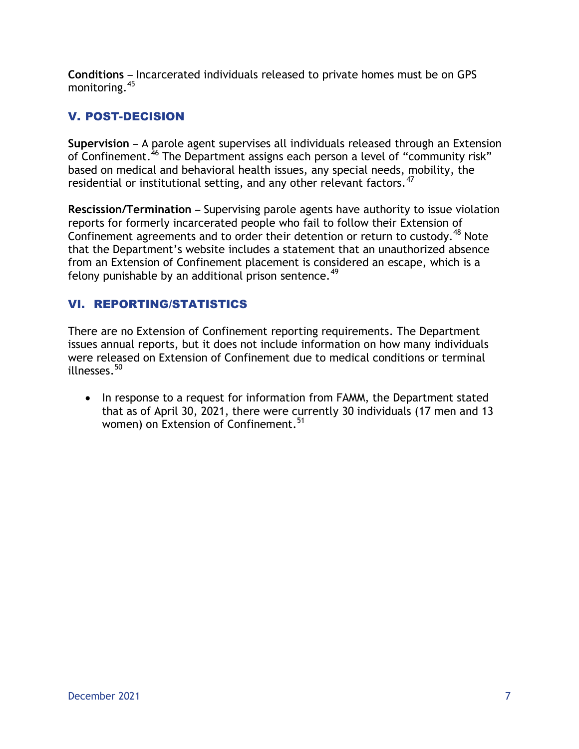**Conditions** – Incarcerated individuals released to private homes must be on GPS monitoring.<sup>45</sup>

## V. POST-DECISION

**Supervision** – A parole agent supervises all individuals released through an Extension of Confinement.<sup>46</sup> The Department assigns each person a level of "community risk" based on medical and behavioral health issues, any special needs, mobility, the residential or institutional setting, and any other relevant factors.  $47$ 

**Rescission/Termination** – Supervising parole agents have authority to issue violation reports for formerly incarcerated people who fail to follow their Extension of Confinement agreements and to order their detention or return to custody.<sup>48</sup> Note that the Department's website includes a statement that an unauthorized absence from an Extension of Confinement placement is considered an escape, which is a felony punishable by an additional prison sentence.  $49$ 

## VI. REPORTING/STATISTICS

There are no Extension of Confinement reporting requirements. The Department issues annual reports, but it does not include information on how many individuals were released on Extension of Confinement due to medical conditions or terminal illnesses.<sup>50</sup>

• In response to a request for information from FAMM, the Department stated that as of April 30, 2021, there were currently 30 individuals (17 men and 13 women) on Extension of Confinement.<sup>51</sup>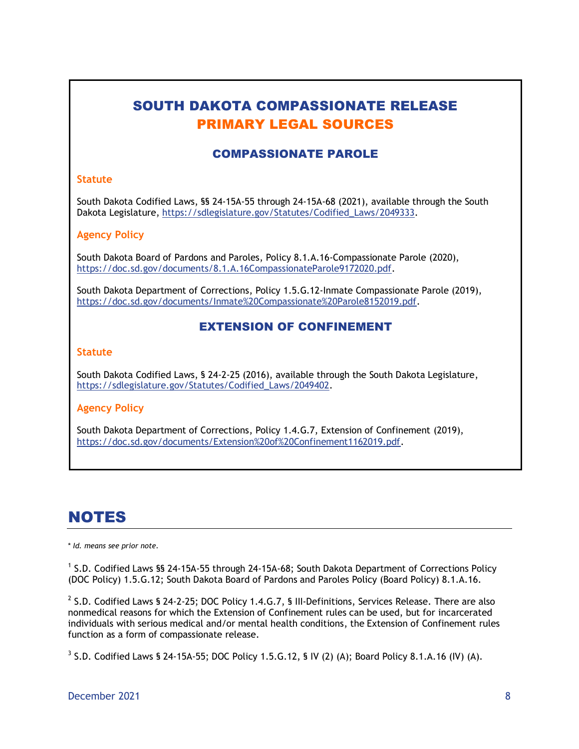# SOUTH DAKOTA COMPASSIONATE RELEASE PRIMARY LEGAL SOURCES

#### COMPASSIONATE PAROLE

#### **Statute**

South Dakota Codified Laws, §§ 24-15A-55 through 24-15A-68 (2021), available through the South Dakota Legislature, [https://sdlegislature.gov/Statutes/Codified\\_Laws/2049333.](https://sdlegislature.gov/Statutes/Codified_Laws/2049333)

#### **Agency Policy**

South Dakota Board of Pardons and Paroles, Policy 8.1.A.16-Compassionate Parole (2020), [https://doc.sd.gov/documents/8.1.A.16CompassionateParole9172020.pdf.](https://doc.sd.gov/documents/8.1.A.16CompassionateParole9172020.pdf)

South Dakota Department of Corrections, Policy 1.5.G.12-Inmate Compassionate Parole (2019), [https://doc.sd.gov/documents/Inmate%20Compassionate%20Parole8152019.pdf.](https://doc.sd.gov/documents/Inmate%20Compassionate%20Parole8152019.pdf)

#### EXTENSION OF CONFINEMENT

#### **Statute**

South Dakota Codified Laws, § 24-2-25 (2016), available through the South Dakota Legislature, [https://sdlegislature.gov/Statutes/Codified\\_Laws/2049402.](https://sdlegislature.gov/Statutes/Codified_Laws/2049402)

#### **Agency Policy**

South Dakota Department of Corrections, Policy 1.4.G.7, Extension of Confinement (2019), [https://doc.sd.gov/documents/Extension%20of%20Confinement1162019.pdf.](https://doc.sd.gov/documents/Extension%20of%20Confinement1162019.pdf)

# NOTES

\* *Id. means see prior note.*

<sup>1</sup> S.D. Codified Laws §§ 24-15A-55 through 24-15A-68; South Dakota Department of Corrections Policy (DOC Policy) 1.5.G.12; South Dakota Board of Pardons and Paroles Policy (Board Policy) 8.1.A.16.

 $^2$  S.D. Codified Laws § 24-2-25; DOC Policy 1.4.G.7, § III-Definitions, Services Release. There are also nonmedical reasons for which the Extension of Confinement rules can be used, but for incarcerated individuals with serious medical and/or mental health conditions, the Extension of Confinement rules function as a form of compassionate release.

 $3$  S.D. Codified Laws § 24-15A-55; DOC Policy 1.5.G.12, § IV (2) (A); Board Policy 8.1.A.16 (IV) (A).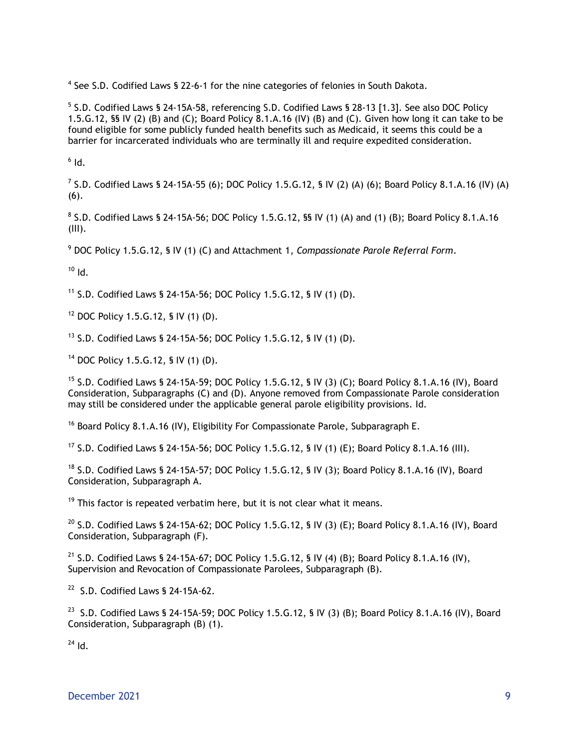<sup>4</sup> See S.D. Codified Laws § 22-6-1 for the nine categories of felonies in South Dakota.

 $^5$  S.D. Codified Laws § 24-15A-58, referencing S.D. Codified Laws § 28-13 [1.3]. See also DOC Policy 1.5.G.12, §§ IV (2) (B) and (C); Board Policy 8.1.A.16 (IV) (B) and (C). Given how long it can take to be found eligible for some publicly funded health benefits such as Medicaid, it seems this could be a barrier for incarcerated individuals who are terminally ill and require expedited consideration.

 $^6$  Id.

<sup>7</sup> S.D. Codified Laws § 24-15A-55 (6); DOC Policy 1.5.G.12, § IV (2) (A) (6); Board Policy 8.1.A.16 (IV) (A) (6).

 $8$  S.D. Codified Laws § 24-15A-56; DOC Policy 1.5.G.12, §§ IV (1) (A) and (1) (B); Board Policy 8.1.A.16 (III).

<sup>9</sup> DOC Policy 1.5.G.12, § IV (1) (C) and Attachment 1, *Compassionate Parole Referral Form*.

 $10$  Id.

<sup>11</sup> S.D. Codified Laws § 24-15A-56; DOC Policy 1.5.G.12, § IV (1) (D).

<sup>12</sup> DOC Policy 1.5.G.12, § IV (1) (D).

<sup>13</sup> S.D. Codified Laws § 24-15A-56; DOC Policy 1.5.G.12, § IV (1) (D).

<sup>14</sup> DOC Policy 1.5.G.12, § IV (1) (D).

<sup>15</sup> S.D. Codified Laws § 24-15A-59; DOC Policy 1.5.G.12, § IV (3) (C); Board Policy 8.1.A.16 (IV), Board Consideration, Subparagraphs (C) and (D). Anyone removed from Compassionate Parole consideration may still be considered under the applicable general parole eligibility provisions. Id.

<sup>16</sup> Board Policy 8.1.A.16 (IV), Eligibility For Compassionate Parole, Subparagraph E.

<sup>17</sup> S.D. Codified Laws § 24-15A-56; DOC Policy 1.5.G.12, § IV (1) (E); Board Policy 8.1.A.16 (III).

<sup>18</sup> S.D. Codified Laws § 24-15A-57; DOC Policy 1.5.G.12, § IV (3); Board Policy 8.1.A.16 (IV), Board Consideration, Subparagraph A.

 $19$  This factor is repeated verbatim here, but it is not clear what it means.

<sup>20</sup> S.D. Codified Laws § 24-15A-62; DOC Policy 1.5.G.12, § IV (3) (E); Board Policy 8.1.A.16 (IV), Board Consideration, Subparagraph (F).

<sup>21</sup> S.D. Codified Laws § 24-15A-67; DOC Policy 1.5.G.12, § IV (4) (B); Board Policy 8.1.A.16 (IV), Supervision and Revocation of Compassionate Parolees, Subparagraph (B).

 $22$  S.D. Codified Laws § 24-15A-62.

<sup>23</sup> S.D. Codified Laws § 24-15A-59; DOC Policy 1.5.G.12, § IV (3) (B); Board Policy 8.1.A.16 (IV), Board Consideration, Subparagraph (B) (1).

 $^{24}$  Id.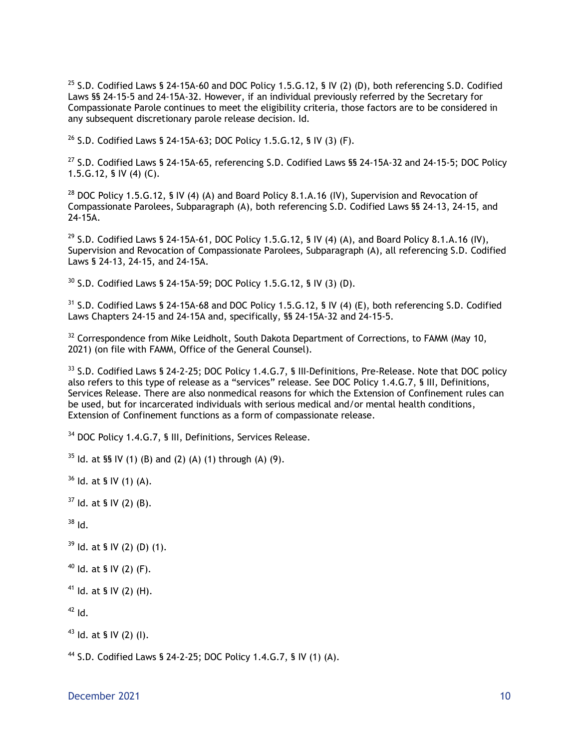<sup>25</sup> S.D. Codified Laws § 24-15A-60 and DOC Policy 1.5.G.12, § IV (2) (D), both referencing S.D. Codified Laws §§ 24-15-5 and 24-15A-32. However, if an individual previously referred by the Secretary for Compassionate Parole continues to meet the eligibility criteria, those factors are to be considered in any subsequent discretionary parole release decision. Id.

<sup>26</sup> S.D. Codified Laws § 24-15A-63; DOC Policy 1.5.G.12, § IV (3) (F).

 $^{27}$  S.D. Codified Laws § 24-15A-65, referencing S.D. Codified Laws §§ 24-15A-32 and 24-15-5; DOC Policy 1.5.G.12, § IV (4) (C).

<sup>28</sup> DOC Policy 1.5.G.12, § IV (4) (A) and Board Policy 8.1.A.16 (IV), Supervision and Revocation of Compassionate Parolees, Subparagraph (A), both referencing S.D. Codified Laws §§ 24-13, 24-15, and 24-15A.

<sup>29</sup> S.D. Codified Laws § 24-15A-61, DOC Policy 1.5.G.12, § IV (4) (A), and Board Policy 8.1.A.16 (IV), Supervision and Revocation of Compassionate Parolees, Subparagraph (A), all referencing S.D. Codified Laws § 24-13, 24-15, and 24-15A.

 $30$  S.D. Codified Laws § 24-15A-59; DOC Policy 1.5.G.12, § IV (3) (D).

 $31$  S.D. Codified Laws § 24-15A-68 and DOC Policy 1.5.G.12, § IV (4) (E), both referencing S.D. Codified Laws Chapters 24-15 and 24-15A and, specifically, §§ 24-15A-32 and 24-15-5.

 $32$  Correspondence from Mike Leidholt, South Dakota Department of Corrections, to FAMM (May 10, 2021) (on file with FAMM, Office of the General Counsel).

<sup>33</sup> S.D. Codified Laws § 24-2-25; DOC Policy 1.4.G.7, § III-Definitions, Pre-Release. Note that DOC policy also refers to this type of release as a "services" release. See DOC Policy 1.4.G.7, § III, Definitions, Services Release. There are also nonmedical reasons for which the Extension of Confinement rules can be used, but for incarcerated individuals with serious medical and/or mental health conditions, Extension of Confinement functions as a form of compassionate release.

<sup>34</sup> DOC Policy 1.4.G.7, § III, Definitions, Services Release.

 $35$  Id. at §§ IV (1) (B) and (2) (A) (1) through (A) (9).

 $36$  Id. at § IV (1) (A).

 $37$  Id. at § IV (2) (B).

<sup>38</sup> Id.

 $39$  ld. at § IV (2) (D) (1).

 $40$  Id. at § IV (2) (F).

<sup>41</sup> Id. at § IV (2) (H).

 $42$  Id.

 $43$  Id. at § IV (2) (I).

<sup>44</sup> S.D. Codified Laws § 24-2-25; DOC Policy 1.4.G.7, § IV (1) (A).